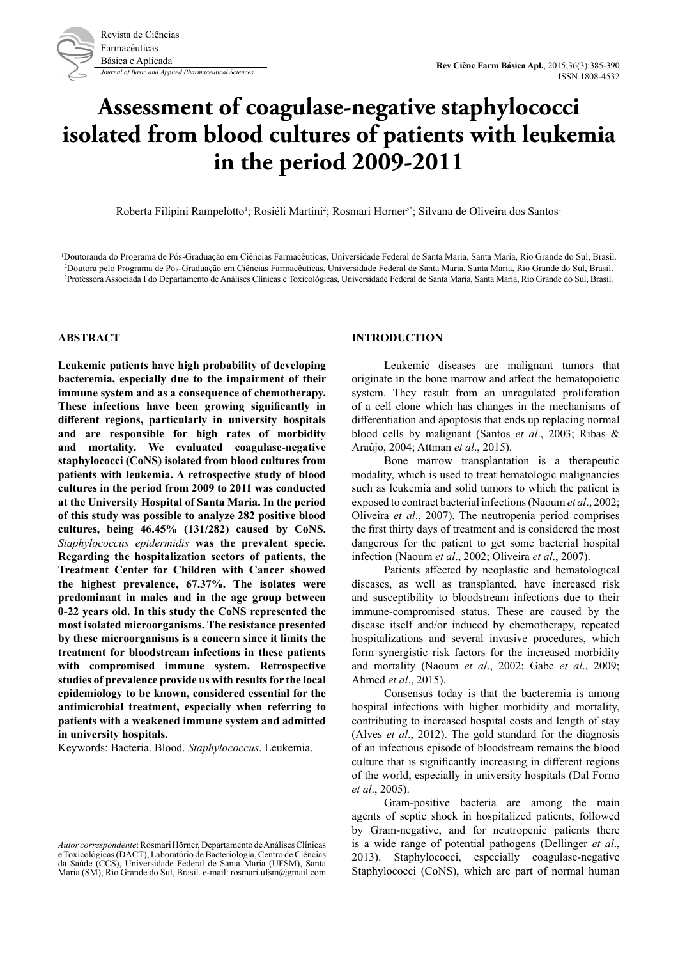

# **Assessment of coagulase-negative staphylococci isolated from blood cultures of patients with leukemia in the period 2009-2011**

Roberta Filipini Rampelotto<sup>1</sup>; Rosiéli Martini<sup>2</sup>; Rosmari Horner<sup>3\*</sup>; Silvana de Oliveira dos Santos<sup>1</sup>

1 Doutoranda do Programa de Pós-Graduação em Ciências Farmacêuticas, Universidade Federal de Santa Maria, Santa Maria, Rio Grande do Sul, Brasil. 2 Doutora pelo Programa de Pós-Graduação em Ciências Farmacêuticas, Universidade Federal de Santa Maria, Santa Maria, Rio Grande do Sul, Brasil. 3 Professora Associada I do Departamento de Análises Clínicas e Toxicológicas, Universidade Federal de Santa Maria, Santa Maria, Rio Grande do Sul, Brasil.

#### **ABSTRACT**

**Leukemic patients have high probability of developing bacteremia, especially due to the impairment of their immune system and as a consequence of chemotherapy. These infections have been growing significantly in different regions, particularly in university hospitals and are responsible for high rates of morbidity and mortality. We evaluated coagulase-negative staphylococci (CoNS) isolated from blood cultures from patients with leukemia. A retrospective study of blood cultures in the period from 2009 to 2011 was conducted at the University Hospital of Santa Maria. In the period of this study was possible to analyze 282 positive blood cultures, being 46.45% (131/282) caused by CoNS.**  *Staphylococcus epidermidis* **was the prevalent specie. Regarding the hospitalization sectors of patients, the Treatment Center for Children with Cancer showed the highest prevalence, 67.37%. The isolates were predominant in males and in the age group between 0-22 years old. In this study the CoNS represented the most isolated microorganisms. The resistance presented by these microorganisms is a concern since it limits the treatment for bloodstream infections in these patients with compromised immune system. Retrospective studies of prevalence provide us with results for the local epidemiology to be known, considered essential for the antimicrobial treatment, especially when referring to patients with a weakened immune system and admitted in university hospitals.**

Keywords: Bacteria. Blood. *Staphylococcus*. Leukemia.

#### **INTRODUCTION**

Leukemic diseases are malignant tumors that originate in the bone marrow and affect the hematopoietic system. They result from an unregulated proliferation of a cell clone which has changes in the mechanisms of differentiation and apoptosis that ends up replacing normal blood cells by malignant (Santos *et al*., 2003; Ribas & Araújo, 2004; Attman *et al*., 2015).

Bone marrow transplantation is a therapeutic modality, which is used to treat hematologic malignancies such as leukemia and solid tumors to which the patient is exposed to contract bacterial infections (Naoum *et al*., 2002; Oliveira *et al*., 2007). The neutropenia period comprises the first thirty days of treatment and is considered the most dangerous for the patient to get some bacterial hospital infection (Naoum *et al*., 2002; Oliveira *et al*., 2007).

Patients affected by neoplastic and hematological diseases, as well as transplanted, have increased risk and susceptibility to bloodstream infections due to their immune-compromised status. These are caused by the disease itself and/or induced by chemotherapy, repeated hospitalizations and several invasive procedures, which form synergistic risk factors for the increased morbidity and mortality (Naoum *et al*., 2002; Gabe *et al*., 2009; Ahmed *et al*., 2015).

Consensus today is that the bacteremia is among hospital infections with higher morbidity and mortality, contributing to increased hospital costs and length of stay (Alves *et al*., 2012). The gold standard for the diagnosis of an infectious episode of bloodstream remains the blood culture that is significantly increasing in different regions of the world, especially in university hospitals (Dal Forno *et al*., 2005).

Gram-positive bacteria are among the main agents of septic shock in hospitalized patients, followed by Gram-negative, and for neutropenic patients there is a wide range of potential pathogens (Dellinger *et al*., 2013). Staphylococci, especially coagulase-negative Staphylococci (CoNS), which are part of normal human

*Autor correspondente*: Rosmari Hörner, Departamento de Análises Clínicas e Toxicológicas (DACT), Laboratório de Bacteriologia, Centro de Ciências da Saúde (CCS), Universidade Federal de Santa Maria (UFSM), Santa Maria (SM), Rio Grande do Sul, Brasil. e-mail: rosmari.ufsm@gmail.com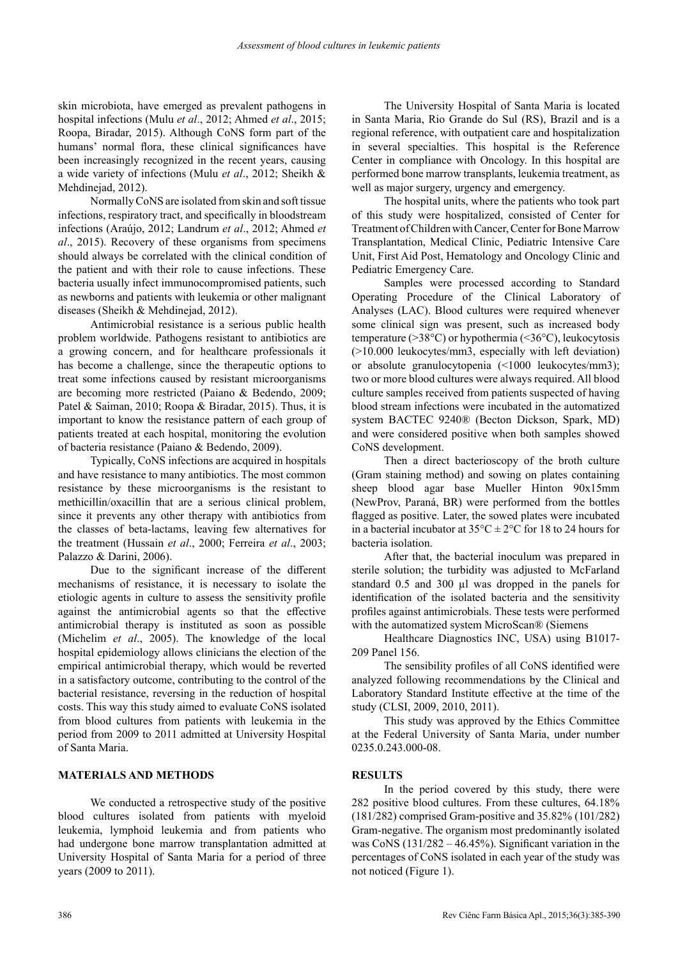skin microbiota, have emerged as prevalent pathogens in hospital infections (Mulu *et al*., 2012; Ahmed *et al*., 2015; Roopa, Biradar, 2015). Although CoNS form part of the humans' normal flora, these clinical significances have been increasingly recognized in the recent years, causing a wide variety of infections (Mulu *et al*., 2012; Sheikh & Mehdinejad, 2012).

Normally CoNS are isolated from skin and soft tissue infections, respiratory tract, and specifically in bloodstream infections (Araújo, 2012; Landrum *et al*., 2012; Ahmed *et al*., 2015). Recovery of these organisms from specimens should always be correlated with the clinical condition of the patient and with their role to cause infections. These bacteria usually infect immunocompromised patients, such as newborns and patients with leukemia or other malignant diseases (Sheikh & Mehdinejad, 2012).

Antimicrobial resistance is a serious public health problem worldwide. Pathogens resistant to antibiotics are a growing concern, and for healthcare professionals it has become a challenge, since the therapeutic options to treat some infections caused by resistant microorganisms are becoming more restricted (Paiano & Bedendo, 2009; Patel & Saiman, 2010; Roopa & Biradar, 2015). Thus, it is important to know the resistance pattern of each group of patients treated at each hospital, monitoring the evolution of bacteria resistance (Paiano & Bedendo, 2009).

Typically, CoNS infections are acquired in hospitals and have resistance to many antibiotics. The most common resistance by these microorganisms is the resistant to methicillin/oxacillin that are a serious clinical problem, since it prevents any other therapy with antibiotics from the classes of beta-lactams, leaving few alternatives for the treatment (Hussain *et al*., 2000; Ferreira *et al*., 2003; Palazzo & Darini, 2006).

Due to the significant increase of the different mechanisms of resistance, it is necessary to isolate the etiologic agents in culture to assess the sensitivity profile against the antimicrobial agents so that the effective antimicrobial therapy is instituted as soon as possible (Michelim *et al*., 2005). The knowledge of the local hospital epidemiology allows clinicians the election of the empirical antimicrobial therapy, which would be reverted in a satisfactory outcome, contributing to the control of the bacterial resistance, reversing in the reduction of hospital costs. This way this study aimed to evaluate CoNS isolated from blood cultures from patients with leukemia in the period from 2009 to 2011 admitted at University Hospital of Santa Maria.

## **MATERIALS AND METHODS**

We conducted a retrospective study of the positive blood cultures isolated from patients with myeloid leukemia, lymphoid leukemia and from patients who had undergone bone marrow transplantation admitted at University Hospital of Santa Maria for a period of three years (2009 to 2011).

The University Hospital of Santa Maria is located in Santa Maria, Rio Grande do Sul (RS), Brazil and is a regional reference, with outpatient care and hospitalization in several specialties. This hospital is the Reference Center in compliance with Oncology. In this hospital are performed bone marrow transplants, leukemia treatment, as well as major surgery, urgency and emergency.

The hospital units, where the patients who took part of this study were hospitalized, consisted of Center for Treatment of Children with Cancer, Center for Bone Marrow Transplantation, Medical Clinic, Pediatric Intensive Care Unit, First Aid Post, Hematology and Oncology Clinic and Pediatric Emergency Care.

Samples were processed according to Standard Operating Procedure of the Clinical Laboratory of Analyses (LAC). Blood cultures were required whenever some clinical sign was present, such as increased body temperature (>38°C) or hypothermia (<36°C), leukocytosis (>10.000 leukocytes/mm3, especially with left deviation) or absolute granulocytopenia (<1000 leukocytes/mm3); two or more blood cultures were always required. All blood culture samples received from patients suspected of having blood stream infections were incubated in the automatized system BACTEC 9240® (Becton Dickson, Spark, MD) and were considered positive when both samples showed CoNS development.

Then a direct bacterioscopy of the broth culture (Gram staining method) and sowing on plates containing sheep blood agar base Mueller Hinton 90x15mm (NewProv, Paraná, BR) were performed from the bottles flagged as positive. Later, the sowed plates were incubated in a bacterial incubator at  $35^{\circ}$ C  $\pm$  2°C for 18 to 24 hours for bacteria isolation.

After that, the bacterial inoculum was prepared in sterile solution; the turbidity was adjusted to McFarland standard 0.5 and 300 µl was dropped in the panels for identification of the isolated bacteria and the sensitivity profiles against antimicrobials. These tests were performed with the automatized system MicroScan® (Siemens

Healthcare Diagnostics INC, USA) using B1017- 209 Panel 156.

The sensibility profiles of all CoNS identified were analyzed following recommendations by the Clinical and Laboratory Standard Institute effective at the time of the study (CLSI, 2009, 2010, 2011).

This study was approved by the Ethics Committee at the Federal University of Santa Maria, under number 0235.0.243.000-08.

## **RESULTS**

In the period covered by this study, there were 282 positive blood cultures. From these cultures, 64.18% (181/282) comprised Gram-positive and 35.82% (101/282) Gram-negative. The organism most predominantly isolated was CoNS  $(131/282 - 46.45%)$ . Significant variation in the percentages of CoNS isolated in each year of the study was not noticed (Figure 1).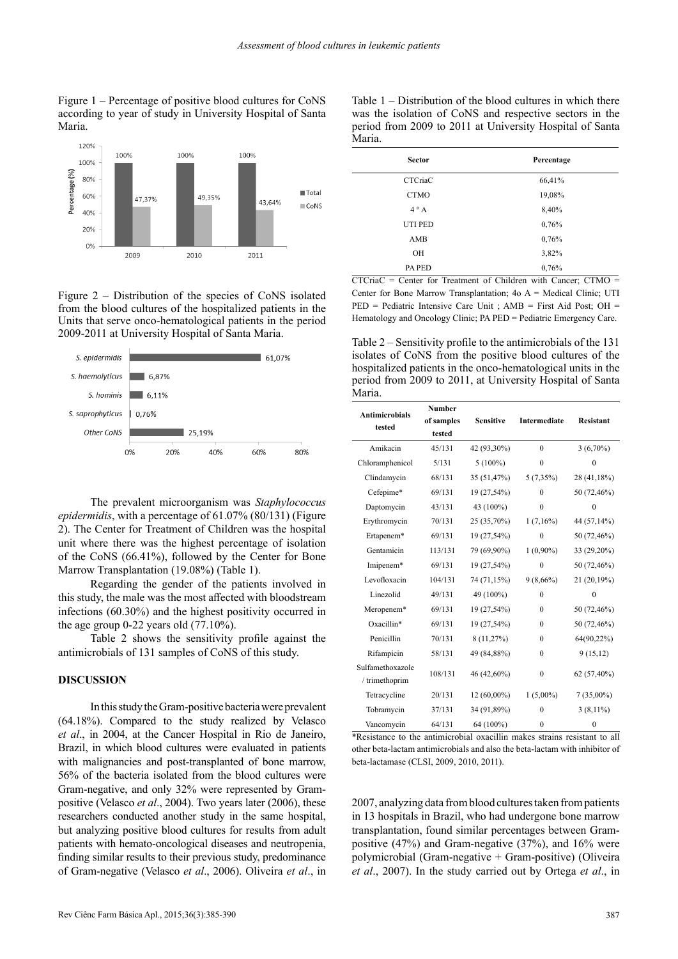Figure 1 – Percentage of positive blood cultures for CoNS according to year of study in University Hospital of Santa Maria.



Figure 2 – Distribution of the species of CoNS isolated from the blood cultures of the hospitalized patients in the Units that serve onco-hematological patients in the period 2009-2011 at University Hospital of Santa Maria.



The prevalent microorganism was *Staphylococcus epidermidis*, with a percentage of 61.07% (80/131) (Figure 2). The Center for Treatment of Children was the hospital unit where there was the highest percentage of isolation of the CoNS (66.41%), followed by the Center for Bone Marrow Transplantation (19.08%) (Table 1).

Regarding the gender of the patients involved in this study, the male was the most affected with bloodstream infections (60.30%) and the highest positivity occurred in the age group  $0-22$  years old  $(77.10\%)$ .

Table 2 shows the sensitivity profile against the antimicrobials of 131 samples of CoNS of this study.

## **DISCUSSION**

In this study the Gram-positive bacteria were prevalent (64.18%). Compared to the study realized by Velasco *et al*., in 2004, at the Cancer Hospital in Rio de Janeiro, Brazil, in which blood cultures were evaluated in patients with malignancies and post-transplanted of bone marrow, 56% of the bacteria isolated from the blood cultures were Gram-negative, and only 32% were represented by Grampositive (Velasco *et al*., 2004). Two years later (2006), these researchers conducted another study in the same hospital, but analyzing positive blood cultures for results from adult patients with hemato-oncological diseases and neutropenia, finding similar results to their previous study, predominance of Gram-negative (Velasco *et al*., 2006). Oliveira *et al*., in

Table 1 – Distribution of the blood cultures in which there was the isolation of CoNS and respective sectors in the period from 2009 to 2011 at University Hospital of Santa Maria.

| <b>Sector</b>  | Percentage |
|----------------|------------|
| <b>CTCriaC</b> | 66,41%     |
| <b>CTMO</b>    | 19,08%     |
| $4^{\circ}$ A  | 8,40%      |
| UTI PED        | 0,76%      |
| AMB            | 0,76%      |
| OH             | 3,82%      |
| PA PED         | 0,76%      |

CTCriaC = Center for Treatment of Children with Cancer; CTMO = Center for Bone Marrow Transplantation; 4o A = Medical Clinic; UTI PED = Pediatric Intensive Care Unit ; AMB = First Aid Post; OH = Hematology and Oncology Clinic; PA PED = Pediatric Emergency Care.

Table 2 – Sensitivity profile to the antimicrobials of the 131 isolates of CoNS from the positive blood cultures of the hospitalized patients in the onco-hematological units in the period from 2009 to 2011, at University Hospital of Santa Maria.

| <b>Antimicrobials</b><br>tested                | <b>Number</b> |                                                      |              |                                                                                                                      |
|------------------------------------------------|---------------|------------------------------------------------------|--------------|----------------------------------------------------------------------------------------------------------------------|
|                                                | of samples    | <b>Sensitive</b>                                     | Intermediate | <b>Resistant</b>                                                                                                     |
|                                                | tested        |                                                      |              |                                                                                                                      |
| Amikacin                                       | 45/131        | 42 (93,30%)                                          | $\theta$     | $3(6,70\%)$                                                                                                          |
| Chloramphenicol                                | 5/131         | $5(100\%)$                                           | $\mathbf{0}$ | $\theta$                                                                                                             |
| Clindamycin                                    | 68/131        | 35 (51,47%)                                          | $5(7,35\%)$  | 28 (41,18%)                                                                                                          |
| Cefepime*                                      | 69/131        | 19 (27,54%)                                          | $\theta$     | 50 (72,46%)                                                                                                          |
| Daptomycin                                     | 43/131        | 43 (100%)                                            | $\theta$     | 0                                                                                                                    |
| Erythromycin                                   | 70/131        | 25 (35,70%)                                          | $1(7,16\%)$  | 44 (57,14%)                                                                                                          |
| Ertapenem*                                     | 69/131        | 19 (27,54%)                                          | $\mathbf{0}$ | 50 (72,46%)                                                                                                          |
| Gentamicin                                     | 113/131       | 79 (69,90%)                                          | $1(0,90\%)$  | 33 (29,20%)                                                                                                          |
| Imipenem*                                      | 69/131        | 19 (27,54%)                                          | $\mathbf{0}$ | 50 (72,46%)                                                                                                          |
| Levofloxacin                                   | 104/131       | 74 (71,15%)                                          | $9(8,66\%)$  | 21 (20,19%)                                                                                                          |
| Linezolid                                      | 49/131        | 49 (100%)                                            | $\theta$     | $\theta$                                                                                                             |
| Meropenem*                                     | 69/131        | 19 (27,54%)                                          | $\mathbf{0}$ | 50 (72,46%)                                                                                                          |
| Oxacillin*                                     | 69/131        | 19 (27,54%)                                          | $\theta$     | 50 (72,46%)                                                                                                          |
| Penicillin                                     | 70/131        | 8 (11,27%)                                           | $\theta$     | 64(90,22%)                                                                                                           |
| Rifampicin                                     | 58/131        | 49 (84,88%)                                          | $\mathbf{0}$ | 9(15,12)                                                                                                             |
| Sulfamethoxazole<br>/ trimethoprim             | 108/131       | 46 (42,60%)                                          | $\mathbf{0}$ | 62 (57,40%)                                                                                                          |
| Tetracycline                                   | 20/131        | 12 (60,00%)                                          | $1(5,00\%)$  | $7(35,00\%)$                                                                                                         |
| Tobramycin                                     | 37/131        | 34 (91,89%)                                          | $\theta$     | $3(8,11\%)$                                                                                                          |
| Vancomycin<br>والله المناور والمستورة فالمتحدث | 64/131        | 64 (100%)<br>∡tood open to to the cooper of the coop | $\mathbf{0}$ | $\mathbf{0}$<br>11 - براسمبر المربوط المحمد المحمد المحمد المحمد المحمد المحمد المحمد المحمد المحمد المحمد المحمد ال |

\*Resistance to the antimicrobial oxacillin makes strains resistant to all other beta-lactam antimicrobials and also the beta-lactam with inhibitor of beta-lactamase (CLSI, 2009, 2010, 2011).

2007, analyzing data from blood cultures taken from patients in 13 hospitals in Brazil, who had undergone bone marrow transplantation, found similar percentages between Grampositive (47%) and Gram-negative (37%), and 16% were polymicrobial (Gram-negative  $+$  Gram-positive) (Oliveira *et al*., 2007). In the study carried out by Ortega *et al*., in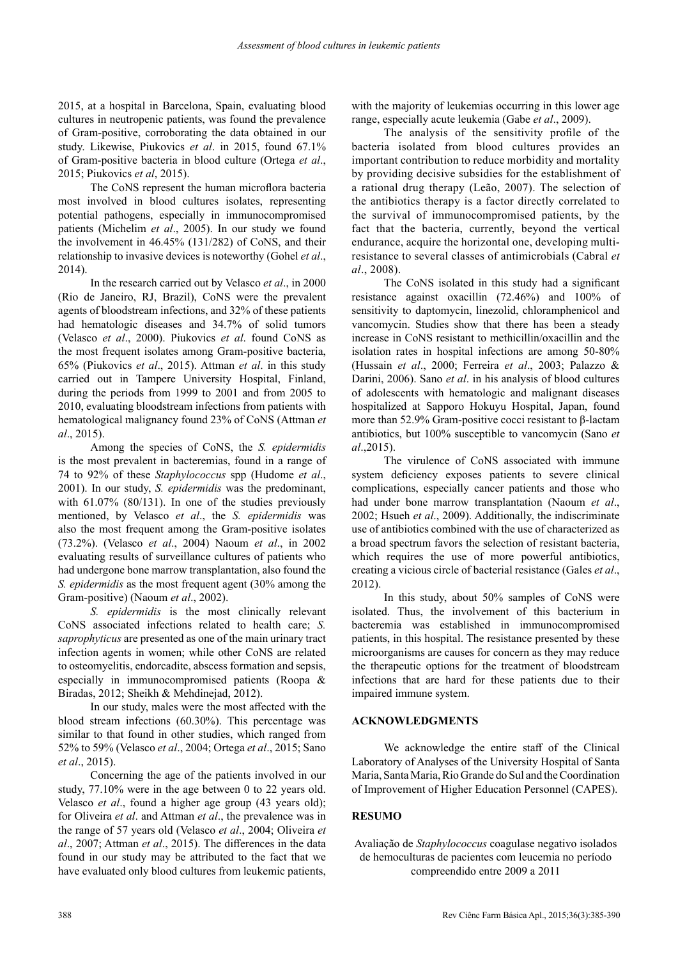2015, at a hospital in Barcelona, Spain, evaluating blood cultures in neutropenic patients, was found the prevalence of Gram-positive, corroborating the data obtained in our study. Likewise, Piukovics *et al*. in 2015, found 67.1% of Gram-positive bacteria in blood culture (Ortega *et al*., 2015; Piukovics *et al*, 2015).

The CoNS represent the human microflora bacteria most involved in blood cultures isolates, representing potential pathogens, especially in immunocompromised patients (Michelim *et al*., 2005). In our study we found the involvement in 46.45% (131/282) of CoNS, and their relationship to invasive devices is noteworthy (Gohel *et al*., 2014).

In the research carried out by Velasco *et al*., in 2000 (Rio de Janeiro, RJ, Brazil), CoNS were the prevalent agents of bloodstream infections, and 32% of these patients had hematologic diseases and 34.7% of solid tumors (Velasco *et al*., 2000). Piukovics *et al*. found CoNS as the most frequent isolates among Gram-positive bacteria, 65% (Piukovics *et al*., 2015). Attman *et al*. in this study carried out in Tampere University Hospital, Finland, during the periods from 1999 to 2001 and from 2005 to 2010, evaluating bloodstream infections from patients with hematological malignancy found 23% of CoNS (Attman *et al*., 2015).

Among the species of CoNS, the *S. epidermidis* is the most prevalent in bacteremias, found in a range of 74 to 92% of these *Staphylococcus* spp (Hudome *et al*., 2001). In our study, *S. epidermidis* was the predominant, with 61.07% (80/131). In one of the studies previously mentioned, by Velasco *et al*., the *S. epidermidis* was also the most frequent among the Gram-positive isolates (73.2%). (Velasco *et al*., 2004) Naoum *et al*., in 2002 evaluating results of surveillance cultures of patients who had undergone bone marrow transplantation, also found the *S. epidermidis* as the most frequent agent (30% among the Gram-positive) (Naoum *et al*., 2002).

*S. epidermidis* is the most clinically relevant CoNS associated infections related to health care; *S. saprophyticus* are presented as one of the main urinary tract infection agents in women; while other CoNS are related to osteomyelitis, endorcadite, abscess formation and sepsis, especially in immunocompromised patients (Roopa & Biradas, 2012; Sheikh & Mehdinejad, 2012).

In our study, males were the most affected with the blood stream infections (60.30%). This percentage was similar to that found in other studies, which ranged from 52% to 59% (Velasco *et al*., 2004; Ortega *et al*., 2015; Sano *et al*., 2015).

Concerning the age of the patients involved in our study, 77.10% were in the age between 0 to 22 years old. Velasco *et al*., found a higher age group (43 years old); for Oliveira *et al*. and Attman *et al*., the prevalence was in the range of 57 years old (Velasco *et al*., 2004; Oliveira *et al*., 2007; Attman *et al*., 2015). The differences in the data found in our study may be attributed to the fact that we have evaluated only blood cultures from leukemic patients,

with the majority of leukemias occurring in this lower age range, especially acute leukemia (Gabe *et al*., 2009).

The analysis of the sensitivity profile of the bacteria isolated from blood cultures provides an important contribution to reduce morbidity and mortality by providing decisive subsidies for the establishment of a rational drug therapy (Leão, 2007). The selection of the antibiotics therapy is a factor directly correlated to the survival of immunocompromised patients, by the fact that the bacteria, currently, beyond the vertical endurance, acquire the horizontal one, developing multiresistance to several classes of antimicrobials (Cabral *et al*., 2008).

The CoNS isolated in this study had a significant resistance against oxacillin (72.46%) and 100% of sensitivity to daptomycin, linezolid, chloramphenicol and vancomycin. Studies show that there has been a steady increase in CoNS resistant to methicillin/oxacillin and the isolation rates in hospital infections are among 50-80% (Hussain *et al*., 2000; Ferreira *et al*., 2003; Palazzo & Darini, 2006). Sano *et al*. in his analysis of blood cultures of adolescents with hematologic and malignant diseases hospitalized at Sapporo Hokuyu Hospital, Japan, found more than 52.9% Gram-positive cocci resistant to β-lactam antibiotics, but 100% susceptible to vancomycin (Sano *et al*.,2015).

The virulence of CoNS associated with immune system deficiency exposes patients to severe clinical complications, especially cancer patients and those who had under bone marrow transplantation (Naoum *et al*., 2002; Hsueh *et al*., 2009). Additionally, the indiscriminate use of antibiotics combined with the use of characterized as a broad spectrum favors the selection of resistant bacteria, which requires the use of more powerful antibiotics, creating a vicious circle of bacterial resistance (Gales *et al*., 2012).

In this study, about 50% samples of CoNS were isolated. Thus, the involvement of this bacterium in bacteremia was established in immunocompromised patients, in this hospital. The resistance presented by these microorganisms are causes for concern as they may reduce the therapeutic options for the treatment of bloodstream infections that are hard for these patients due to their impaired immune system.

# **ACKNOWLEDGMENTS**

We acknowledge the entire staff of the Clinical Laboratory of Analyses of the University Hospital of Santa Maria, Santa Maria, Rio Grande do Sul and the Coordination of Improvement of Higher Education Personnel (CAPES).

## **RESUMO**

Avaliação de *Staphylococcus* coagulase negativo isolados de hemoculturas de pacientes com leucemia no período compreendido entre 2009 a 2011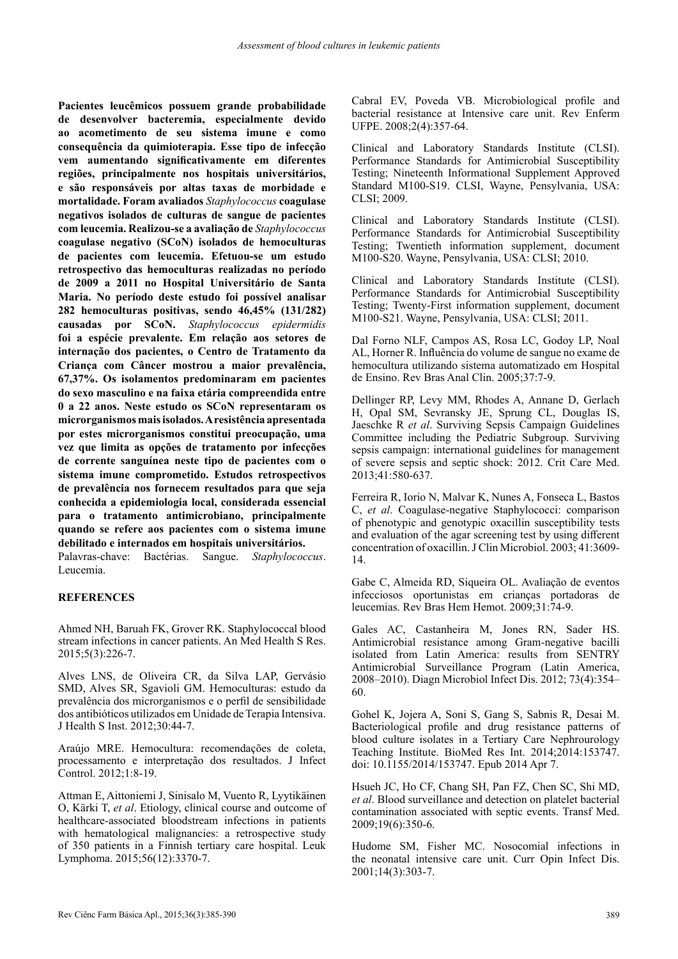**Pacientes leucêmicos possuem grande probabilidade de desenvolver bacteremia, especialmente devido ao acometimento de seu sistema imune e como consequência da quimioterapia. Esse tipo de infecção vem aumentando significativamente em diferentes regiões, principalmente nos hospitais universitários, e são responsáveis por altas taxas de morbidade e mortalidade. Foram avaliados** *Staphylococcus* **coagulase negativos isolados de culturas de sangue de pacientes com leucemia. Realizou-se a avaliação de** *Staphylococcus* **coagulase negativo (SCoN) isolados de hemoculturas de pacientes com leucemia. Efetuou-se um estudo retrospectivo das hemoculturas realizadas no período de 2009 a 2011 no Hospital Universitário de Santa Maria. No período deste estudo foi possível analisar 282 hemoculturas positivas, sendo 46,45% (131/282) causadas por SCoN.** *Staphylococcus epidermidis* **foi a espécie prevalente. Em relação aos setores de internação dos pacientes, o Centro de Tratamento da Criança com Câncer mostrou a maior prevalência, 67,37%. Os isolamentos predominaram em pacientes do sexo masculino e na faixa etária compreendida entre 0 a 22 anos. Neste estudo os SCoN representaram os microrganismos mais isolados. A resistência apresentada por estes microrganismos constitui preocupação, uma vez que limita as opções de tratamento por infecções de corrente sanguínea neste tipo de pacientes com o sistema imune comprometido. Estudos retrospectivos de prevalência nos fornecem resultados para que seja conhecida a epidemiologia local, considerada essencial para o tratamento antimicrobiano, principalmente quando se refere aos pacientes com o sistema imune debilitado e internados em hospitais universitários.**

Palavras-chave: Bactérias. Sangue. *Staphylococcus*. Leucemia.

## **REFERENCES**

Ahmed NH, Baruah FK, Grover RK. Staphylococcal blood stream infections in cancer patients. An Med Health S Res. 2015;5(3):226-7.

Alves LNS, de Oliveira CR, da Silva LAP, Gervásio SMD, Alves SR, Sgavioli GM. Hemoculturas: estudo da prevalência dos microrganismos e o perfil de sensibilidade dos antibióticos utilizados em Unidade de Terapia Intensiva. J Health S Inst. 2012;30:44-7.

Araújo MRE. Hemocultura: recomendações de coleta, processamento e interpretação dos resultados. J Infect Control. 2012;1:8-19.

Attman E, Aittoniemi J, Sinisalo M, Vuento R, Lyytikäinen O, Kärki T, *et al*. Etiology, clinical course and outcome of healthcare-associated bloodstream infections in patients with hematological malignancies: a retrospective study of 350 patients in a Finnish tertiary care hospital. Leuk Lymphoma. 2015;56(12):3370-7.

Cabral EV, Poveda VB. Microbiological profile and bacterial resistance at Intensive care unit. Rev Enferm UFPE. 2008;2(4):357-64.

Clinical and Laboratory Standards Institute (CLSI). Performance Standards for Antimicrobial Susceptibility Testing; Nineteenth Informational Supplement Approved Standard M100-S19. CLSI, Wayne, Pensylvania, USA: CLSI; 2009.

Clinical and Laboratory Standards Institute (CLSI). Performance Standards for Antimicrobial Susceptibility Testing; Twentieth information supplement, document M100-S20. Wayne, Pensylvania, USA: CLSI; 2010.

Clinical and Laboratory Standards Institute (CLSI). Performance Standards for Antimicrobial Susceptibility Testing; Twenty-First information supplement, document M100-S21. Wayne, Pensylvania, USA: CLSI; 2011.

Dal Forno NLF, Campos AS, Rosa LC, Godoy LP, Noal AL, Horner R. Influência do volume de sangue no exame de hemocultura utilizando sistema automatizado em Hospital de Ensino. Rev Bras Anal Clin. 2005;37:7-9.

Dellinger RP, Levy MM, Rhodes A, Annane D, Gerlach H, Opal SM, Sevransky JE, Sprung CL, Douglas IS, Jaeschke R *et al*. Surviving Sepsis Campaign Guidelines Committee including the Pediatric Subgroup. Surviving sepsis campaign: international guidelines for management of severe sepsis and septic shock: 2012. Crit Care Med. 2013;41:580-637.

Ferreira R, Iorio N, Malvar K, Nunes A, Fonseca L, Bastos C, *et al*. Coagulase-negative Staphylococci: comparison of phenotypic and genotypic oxacillin susceptibility tests and evaluation of the agar screening test by using different concentration of oxacillin. J Clin Microbiol. 2003; 41:3609- 14.

Gabe C, Almeida RD, Siqueira OL. Avaliação de eventos infecciosos oportunistas em crianças portadoras de leucemias. Rev Bras Hem Hemot. 2009;31:74-9.

Gales AC, Castanheira M, Jones RN, Sader HS. Antimicrobial resistance among Gram-negative bacilli isolated from Latin America: results from SENTRY Antimicrobial Surveillance Program (Latin America, 2008–2010). Diagn Microbiol Infect Dis. 2012; 73(4):354– 60.

Gohel K, Jojera A, Soni S, Gang S, Sabnis R, Desai M. Bacteriological profile and drug resistance patterns of blood culture isolates in a Tertiary Care Nephrourology Teaching Institute. BioMed Res Int. 2014;2014:153747. doi: 10.1155/2014/153747. Epub 2014 Apr 7.

Hsueh JC, Ho CF, Chang SH, Pan FZ, Chen SC, Shi MD, *et al*. Blood surveillance and detection on platelet bacterial contamination associated with septic events. Transf Med. 2009;19(6):350-6.

Hudome SM, Fisher MC. Nosocomial infections in the neonatal intensive care unit. Curr Opin Infect Dis. 2001;14(3):303-7.